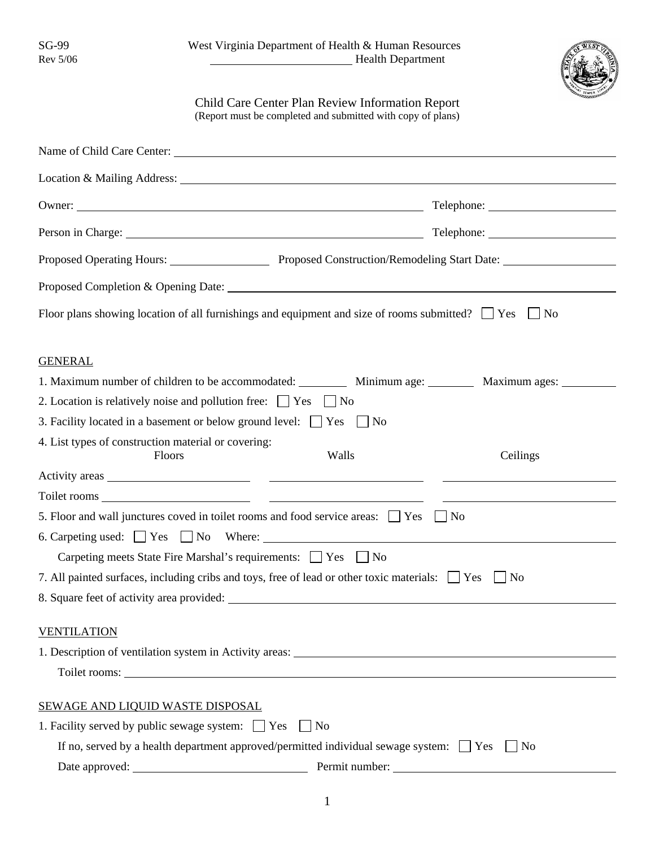

## Child Care Center Plan Review Information Report (Report must be completed and submitted with copy of plans)

| Owner:                                                                                                          | Telephone: 2000 |
|-----------------------------------------------------------------------------------------------------------------|-----------------|
|                                                                                                                 |                 |
| Proposed Operating Hours: Proposed Construction/Remodeling Start Date: 1990 March 2014                          |                 |
|                                                                                                                 |                 |
| Floor plans showing location of all furnishings and equipment and size of rooms submitted? $\Box$ Yes $\Box$ No |                 |
| <b>GENERAL</b>                                                                                                  |                 |
| 1. Maximum number of children to be accommodated: ___________ Minimum age: __________ Maximum ages: _________   |                 |
| 2. Location is relatively noise and pollution free: $\Box$ Yes $\Box$ No                                        |                 |
| 3. Facility located in a basement or below ground level: $\Box$ Yes $\Box$ No                                   |                 |
| 4. List types of construction material or covering:<br>Walls<br><b>Floors</b>                                   | Ceilings        |
|                                                                                                                 |                 |
|                                                                                                                 |                 |
| 5. Floor and wall junctures coved in toilet rooms and food service areas: $\Box$ Yes<br>$\blacksquare$ No       |                 |
| 6. Carpeting used: $\Box$ Yes $\Box$ No Where:                                                                  |                 |
| Carpeting meets State Fire Marshal's requirements: $\Box$ Yes $\Box$ No                                         |                 |
| 7. All painted surfaces, including cribs and toys, free of lead or other toxic materials: Yes                   | $\vert$ No      |
|                                                                                                                 |                 |
| <b>VENTILATION</b>                                                                                              |                 |
|                                                                                                                 |                 |
| Toilet rooms:                                                                                                   |                 |
| <b>SEWAGE AND LIQUID WASTE DISPOSAL</b>                                                                         |                 |
| 1. Facility served by public sewage system: $\Box$ Yes<br>$\vert$   No                                          |                 |
| If no, served by a health department approved/permitted individual sewage system: $\Box$ Yes<br>N <sub>o</sub>  |                 |
| Permit number:<br><u> 1980 - Jan Samuel Barbara, martin d</u>                                                   |                 |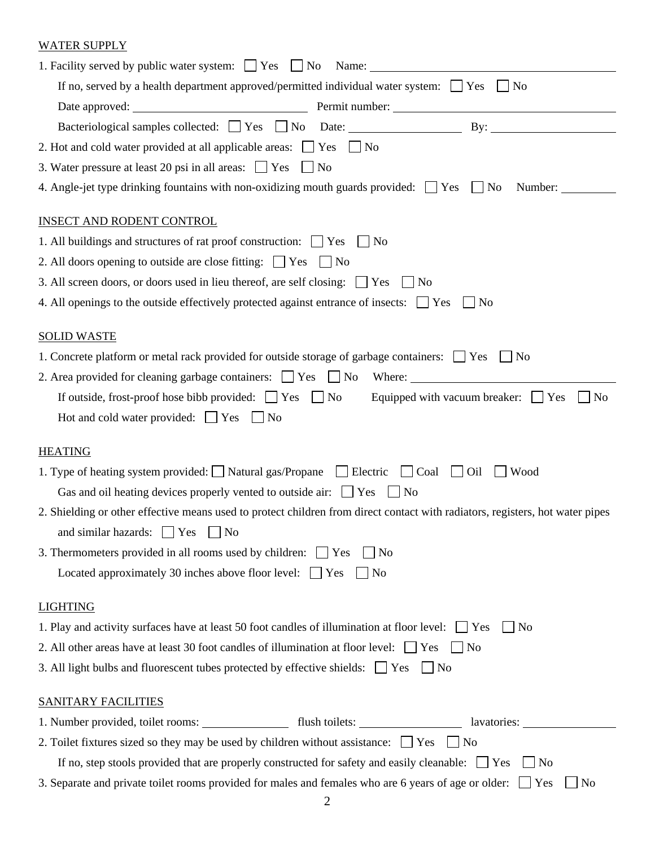## WATER SUPPLY

| 1. Facility served by public water system: $\Box$ Yes $\Box$ No Name: $\Box$                                                                                                                           |  |
|--------------------------------------------------------------------------------------------------------------------------------------------------------------------------------------------------------|--|
| If no, served by a health department approved/permitted individual water system: $\Box$ Yes<br>$\Box$ No                                                                                               |  |
|                                                                                                                                                                                                        |  |
| Bacteriological samples collected: Yes No Date: By: By:                                                                                                                                                |  |
| 2. Hot and cold water provided at all applicable areas: $\Box$ Yes $\Box$ No                                                                                                                           |  |
| 3. Water pressure at least 20 psi in all areas: $\Box$ Yes $\Box$ No                                                                                                                                   |  |
| 4. Angle-jet type drinking fountains with non-oxidizing mouth guards provided: $\Box$ Yes $\Box$ No<br>Number:                                                                                         |  |
| <b>INSECT AND RODENT CONTROL</b>                                                                                                                                                                       |  |
| 1. All buildings and structures of rat proof construction: $\Box$ Yes<br>$\vert$   No                                                                                                                  |  |
| 2. All doors opening to outside are close fitting: $\Box$ Yes $\Box$ No                                                                                                                                |  |
| 3. All screen doors, or doors used in lieu thereof, are self closing: $\Box$ Yes $\Box$ No                                                                                                             |  |
| 4. All openings to the outside effectively protected against entrance of insects: $\Box$ Yes $\Box$ No                                                                                                 |  |
| <b>SOLID WASTE</b>                                                                                                                                                                                     |  |
| 1. Concrete platform or metal rack provided for outside storage of garbage containers: $\Box$ Yes $\Box$ No                                                                                            |  |
|                                                                                                                                                                                                        |  |
| If outside, frost-proof hose bibb provided: $\Box$ Yes $\Box$ No Equipped with vacuum breaker: $\Box$ Yes<br>N <sub>0</sub>                                                                            |  |
| Hot and cold water provided: $\Box$ Yes $\Box$ No                                                                                                                                                      |  |
| <b>HEATING</b>                                                                                                                                                                                         |  |
| 1. Type of heating system provided: $\Box$ Natural gas/Propane $\Box$ Electric<br>Wood<br>Coal<br>Oil<br>Gas and oil heating devices properly vented to outside air: $\Box$ Yes<br>$\vert$ No          |  |
| 2. Shielding or other effective means used to protect children from direct contact with radiators, registers, hot water pipes                                                                          |  |
|                                                                                                                                                                                                        |  |
| and similar hazards: Ves<br>$\overline{N}$                                                                                                                                                             |  |
| 3. Thermometers provided in all rooms used by children: $\Box$ Yes<br>$\vert$   No<br>Located approximately 30 inches above floor level: $\Box$ Yes<br>$\vert$ No                                      |  |
|                                                                                                                                                                                                        |  |
| <b>LIGHTING</b>                                                                                                                                                                                        |  |
| 1. Play and activity surfaces have at least 50 foot candles of illumination at floor level: $\Box$ Yes<br>$\vert$   No                                                                                 |  |
| 2. All other areas have at least 30 foot candles of illumination at floor level: $\Box$ Yes $\Box$ No<br>3. All light bulbs and fluorescent tubes protected by effective shields: $\Box$ Yes $\Box$ No |  |
| <b>SANITARY FACILITIES</b>                                                                                                                                                                             |  |
| 1. Number provided, toilet rooms: _________________ flush toilets: ______________ lavatories: ____________                                                                                             |  |
| 2. Toilet fixtures sized so they may be used by children without assistance: $\Box$ Yes $\Box$ No                                                                                                      |  |
| If no, step stools provided that are properly constructed for safety and easily cleanable: $\Box$ Yes<br>$\Box$ No                                                                                     |  |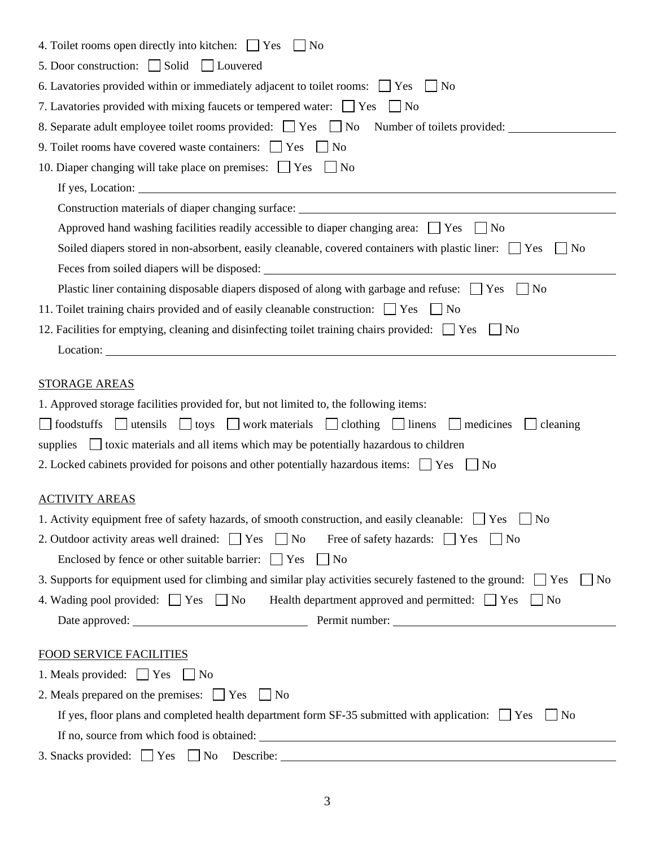| 4. Toilet rooms open directly into kitchen: $\Box$ Yes<br>$\vert$   No                                                            |
|-----------------------------------------------------------------------------------------------------------------------------------|
| 5. Door construction: $\Box$ Solid $\Box$ Louvered                                                                                |
| 6. Lavatories provided within or immediately adjacent to toilet rooms: $\Box$ Yes<br>N <sub>0</sub>                               |
| 7. Lavatories provided with mixing faucets or tempered water: $\Box$ Yes<br>$\overline{N}$                                        |
| 8. Separate adult employee toilet rooms provided: Separate No Number of toilets provided:                                         |
| 9. Toilet rooms have covered waste containers: The Yes<br>$\vert$   No                                                            |
| 10. Diaper changing will take place on premises: $\Box$ Yes $\Box$ No                                                             |
|                                                                                                                                   |
| Construction materials of diaper changing surface: ______________________________                                                 |
| Approved hand washing facilities readily accessible to diaper changing area: $\Box$ Yes<br>l No                                   |
| Soiled diapers stored in non-absorbent, easily cleanable, covered containers with plastic liner: \[\] Yes<br>No                   |
|                                                                                                                                   |
| Plastic liner containing disposable diapers disposed of along with garbage and refuse: $\Box$ Yes<br>N <sub>0</sub>               |
| 11. Toilet training chairs provided and of easily cleanable construction: The Setular No                                          |
| 12. Facilities for emptying, cleaning and disinfecting toilet training chairs provided: $\Box$ Yes<br>N <sub>0</sub>              |
|                                                                                                                                   |
|                                                                                                                                   |
| <b>STORAGE AREAS</b>                                                                                                              |
| 1. Approved storage facilities provided for, but not limited to, the following items:                                             |
| $\Box$ utensils $\Box$ toys $\Box$ work materials $\Box$ clothing $\Box$ linens<br>foodstuffs<br>$\Box$ medicines<br>cleaning     |
| $\Box$ toxic materials and all items which may be potentially hazardous to children<br>supplies                                   |
| 2. Locked cabinets provided for poisons and other potentially hazardous items: $\Box$ Yes<br>N <sub>0</sub>                       |
| <b>ACTIVITY AREAS</b>                                                                                                             |
| 1. Activity equipment free of safety hazards, of smooth construction, and easily cleanable: $\Box$ Yes $\Box$ No                  |
| 2. Outdoor activity areas well drained: $\Box$ Yes $\Box$ No<br>Free of safety hazards: Yes<br>$\vert$ No                         |
| Enclosed by fence or other suitable barrier: $\Box$ Yes<br>$\vert$   No                                                           |
| 3. Supports for equipment used for climbing and similar play activities securely fastened to the ground: $\Box$ Yes<br>$\vert$ No |
| 4. Wading pool provided: $\Box$ Yes $\Box$ No Health department approved and permitted: $\Box$ Yes $\Box$ No                      |
|                                                                                                                                   |
|                                                                                                                                   |
| <b>FOOD SERVICE FACILITIES</b>                                                                                                    |
| 1. Meals provided: $\Box$ Yes $\Box$ No                                                                                           |
| 2. Meals prepared on the premises: $\Box$ Yes $\Box$ No                                                                           |
| If yes, floor plans and completed health department form SF-35 submitted with application: $\Box$ Yes<br>$\vert$   No             |
|                                                                                                                                   |
| 3. Snacks provided: $\Box$ Yes $\Box$ No Describe: $\Box$ Mo Describe: $\Box$ Mo Describe: $\Box$                                 |